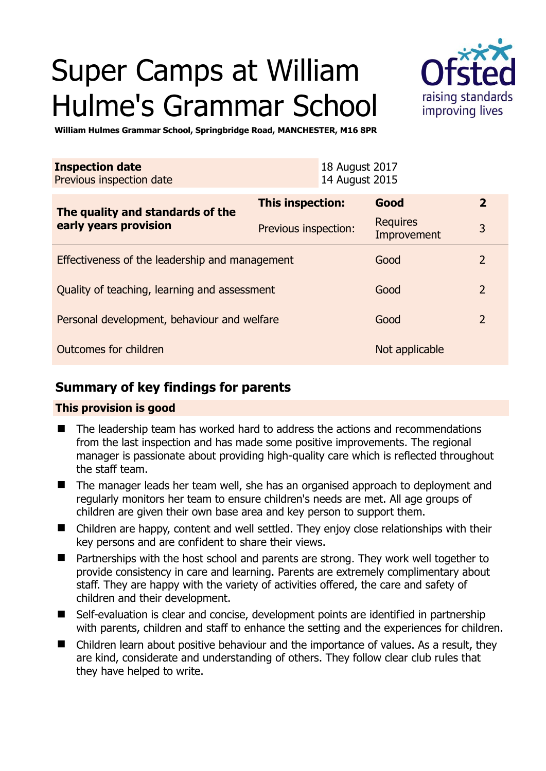# Super Camps at William Hulme's Grammar School



**William Hulmes Grammar School, Springbridge Road, MANCHESTER, M16 8PR** 

| <b>Inspection date</b><br>Previous inspection date        |                      | 18 August 2017<br>14 August 2015 |                                |                |
|-----------------------------------------------------------|----------------------|----------------------------------|--------------------------------|----------------|
| The quality and standards of the<br>early years provision | This inspection:     |                                  | Good                           | $\mathbf{2}$   |
|                                                           | Previous inspection: |                                  | <b>Requires</b><br>Improvement | 3              |
| Effectiveness of the leadership and management            |                      |                                  | Good                           | $\mathcal{L}$  |
| Quality of teaching, learning and assessment              |                      |                                  | Good                           | $\overline{2}$ |
| Personal development, behaviour and welfare               |                      |                                  | Good                           | 2              |
| Outcomes for children                                     |                      |                                  | Not applicable                 |                |

## **Summary of key findings for parents**

#### **This provision is good**

- The leadership team has worked hard to address the actions and recommendations from the last inspection and has made some positive improvements. The regional manager is passionate about providing high-quality care which is reflected throughout the staff team.
- The manager leads her team well, she has an organised approach to deployment and regularly monitors her team to ensure children's needs are met. All age groups of children are given their own base area and key person to support them.
- Children are happy, content and well settled. They enjoy close relationships with their key persons and are confident to share their views.
- Partnerships with the host school and parents are strong. They work well together to provide consistency in care and learning. Parents are extremely complimentary about staff. They are happy with the variety of activities offered, the care and safety of children and their development.
- Self-evaluation is clear and concise, development points are identified in partnership with parents, children and staff to enhance the setting and the experiences for children.
- Children learn about positive behaviour and the importance of values. As a result, they are kind, considerate and understanding of others. They follow clear club rules that they have helped to write.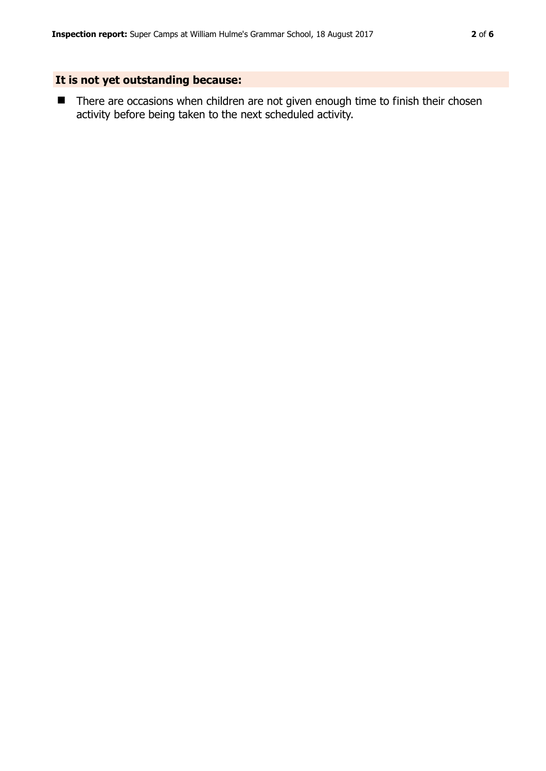## **It is not yet outstanding because:**

■ There are occasions when children are not given enough time to finish their chosen activity before being taken to the next scheduled activity.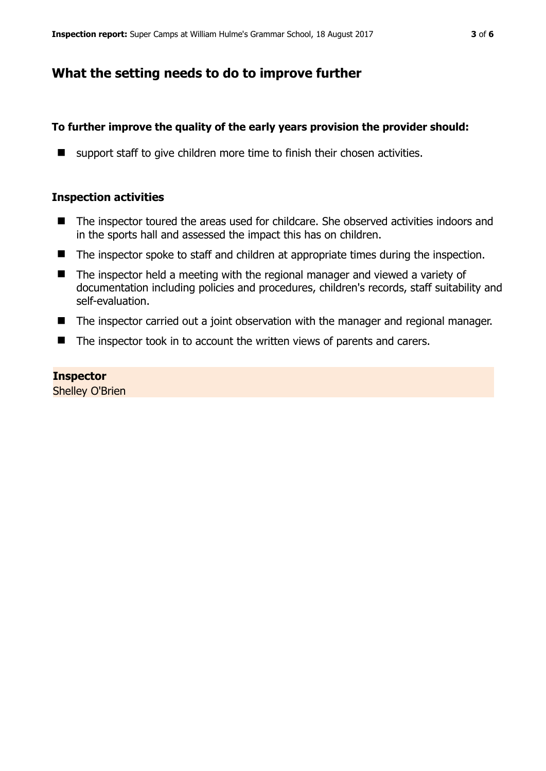## **What the setting needs to do to improve further**

## **To further improve the quality of the early years provision the provider should:**

■ support staff to give children more time to finish their chosen activities.

### **Inspection activities**

- The inspector toured the areas used for childcare. She observed activities indoors and in the sports hall and assessed the impact this has on children.
- The inspector spoke to staff and children at appropriate times during the inspection.
- The inspector held a meeting with the regional manager and viewed a variety of documentation including policies and procedures, children's records, staff suitability and self-evaluation.
- The inspector carried out a joint observation with the manager and regional manager.
- The inspector took in to account the written views of parents and carers.

### **Inspector**  Shelley O'Brien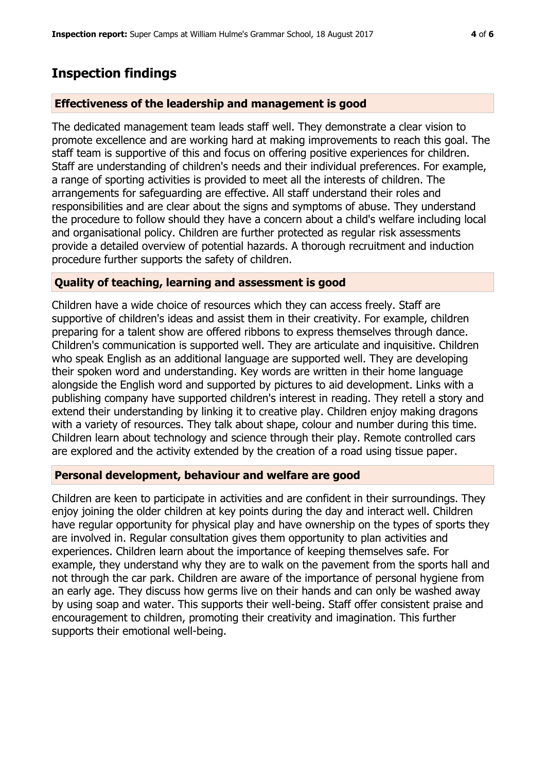## **Inspection findings**

#### **Effectiveness of the leadership and management is good**

The dedicated management team leads staff well. They demonstrate a clear vision to promote excellence and are working hard at making improvements to reach this goal. The staff team is supportive of this and focus on offering positive experiences for children. Staff are understanding of children's needs and their individual preferences. For example, a range of sporting activities is provided to meet all the interests of children. The arrangements for safeguarding are effective. All staff understand their roles and responsibilities and are clear about the signs and symptoms of abuse. They understand the procedure to follow should they have a concern about a child's welfare including local and organisational policy. Children are further protected as regular risk assessments provide a detailed overview of potential hazards. A thorough recruitment and induction procedure further supports the safety of children.

#### **Quality of teaching, learning and assessment is good**

Children have a wide choice of resources which they can access freely. Staff are supportive of children's ideas and assist them in their creativity. For example, children preparing for a talent show are offered ribbons to express themselves through dance. Children's communication is supported well. They are articulate and inquisitive. Children who speak English as an additional language are supported well. They are developing their spoken word and understanding. Key words are written in their home language alongside the English word and supported by pictures to aid development. Links with a publishing company have supported children's interest in reading. They retell a story and extend their understanding by linking it to creative play. Children enjoy making dragons with a variety of resources. They talk about shape, colour and number during this time. Children learn about technology and science through their play. Remote controlled cars are explored and the activity extended by the creation of a road using tissue paper.

#### **Personal development, behaviour and welfare are good**

Children are keen to participate in activities and are confident in their surroundings. They enjoy joining the older children at key points during the day and interact well. Children have regular opportunity for physical play and have ownership on the types of sports they are involved in. Regular consultation gives them opportunity to plan activities and experiences. Children learn about the importance of keeping themselves safe. For example, they understand why they are to walk on the pavement from the sports hall and not through the car park. Children are aware of the importance of personal hygiene from an early age. They discuss how germs live on their hands and can only be washed away by using soap and water. This supports their well-being. Staff offer consistent praise and encouragement to children, promoting their creativity and imagination. This further supports their emotional well-being.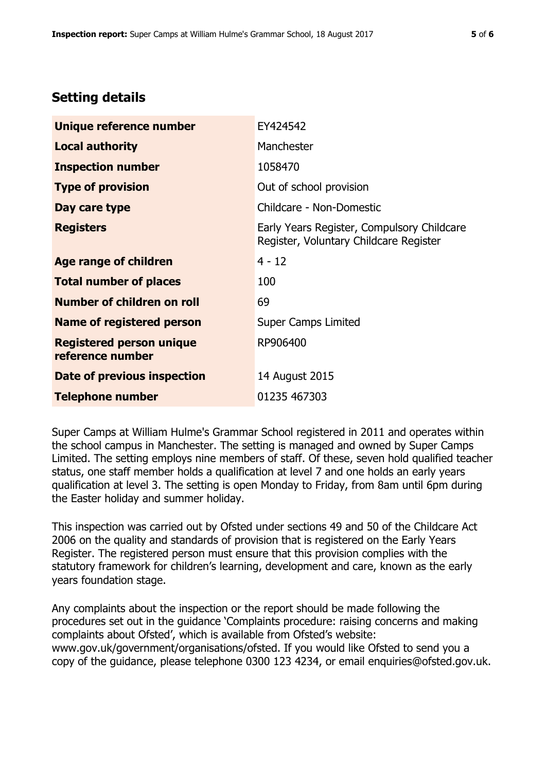# **Setting details**

| Unique reference number                             | EY424542                                                                             |  |
|-----------------------------------------------------|--------------------------------------------------------------------------------------|--|
| <b>Local authority</b>                              | Manchester                                                                           |  |
| <b>Inspection number</b>                            | 1058470                                                                              |  |
| <b>Type of provision</b>                            | Out of school provision                                                              |  |
| Day care type                                       | Childcare - Non-Domestic                                                             |  |
| <b>Registers</b>                                    | Early Years Register, Compulsory Childcare<br>Register, Voluntary Childcare Register |  |
| Age range of children                               | $4 - 12$                                                                             |  |
| <b>Total number of places</b>                       | 100                                                                                  |  |
| Number of children on roll                          | 69                                                                                   |  |
| <b>Name of registered person</b>                    | <b>Super Camps Limited</b>                                                           |  |
| <b>Registered person unique</b><br>reference number | RP906400                                                                             |  |
| Date of previous inspection                         | 14 August 2015                                                                       |  |
| <b>Telephone number</b>                             | 01235 467303                                                                         |  |

Super Camps at William Hulme's Grammar School registered in 2011 and operates within the school campus in Manchester. The setting is managed and owned by Super Camps Limited. The setting employs nine members of staff. Of these, seven hold qualified teacher status, one staff member holds a qualification at level 7 and one holds an early years qualification at level 3. The setting is open Monday to Friday, from 8am until 6pm during the Easter holiday and summer holiday.

This inspection was carried out by Ofsted under sections 49 and 50 of the Childcare Act 2006 on the quality and standards of provision that is registered on the Early Years Register. The registered person must ensure that this provision complies with the statutory framework for children's learning, development and care, known as the early years foundation stage.

Any complaints about the inspection or the report should be made following the procedures set out in the guidance 'Complaints procedure: raising concerns and making complaints about Ofsted', which is available from Ofsted's website: www.gov.uk/government/organisations/ofsted. If you would like Ofsted to send you a copy of the guidance, please telephone 0300 123 4234, or email enquiries@ofsted.gov.uk.